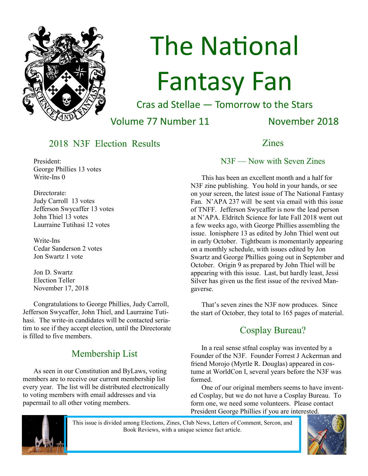

# The National Fantasy Fan

Cras ad Stellae — Tomorrow to the Stars

Volume 77 Number 11 November 2018

## 2018 N3F Election Results

President: George Phillies 13 votes Write-Ins 0

Directorate: Judy Carroll 13 votes Jefferson Swycaffer 13 votes John Thiel 13 votes Laurraine Tutihasi 12 votes

Write-Ins Cedar Sanderson 2 votes Jon Swartz 1 vote

Jon D. Swartz Election Teller November 17, 2018

Congratulations to George Phillies, Judy Carroll, Jefferson Swycaffer, John Thiel, and Laurraine Tutihasi. The write-in candidates will be contacted seriatim to see if they accept election, until the Directorate is filled to five members.

## Membership List

As seen in our Constitution and ByLaws, voting members are to receive our current membership list every year. The list will be distributed electronically to voting members with email addresses and via papermail to all other voting members.

## Zines

N3F — Now with Seven Zines

This has been an excellent month and a half for N3F zine publishing. You hold in your hands, or see on your screen, the latest issue of The National Fantasy Fan. N'APA 237 will be sent via email with this issue of TNFF. Jefferson Swycaffer is now the lead person at N'APA. Eldritch Science for late Fall 2018 went out a few weeks ago, with George Phillies assembling the issue. Ionisphere 13 as edited by John Thiel went out in early October. Tightbeam is momentarily appearing on a monthly schedule, with issues edited by Jon Swartz and George Phillies going out in September and October. Origin 9 as prepared by John Thiel will be appearing with this issue. Last, but hardly least, Jessi Silver has given us the first issue of the revived Mangaverse.

That's seven zines the N3F now produces. Since the start of October, they total to 165 pages of material.

## Cosplay Bureau?

In a real sense stfnal cosplay was invented by a Founder of the N3F. Founder Forrest J Ackerman and friend Morojo (Myrtle R. Douglas) appeared in costume at WorldCon I, several years before the N3F was formed.

One of our original members seems to have invented Cosplay, but we do not have a Cosplay Bureau. To form one, we need some volunteers. Please contact President George Phillies if you are interested.



This issue is divided among Elections, Zines, Club News, Letters of Comment, Sercon, and Book Reviews, with a unique science fact article.

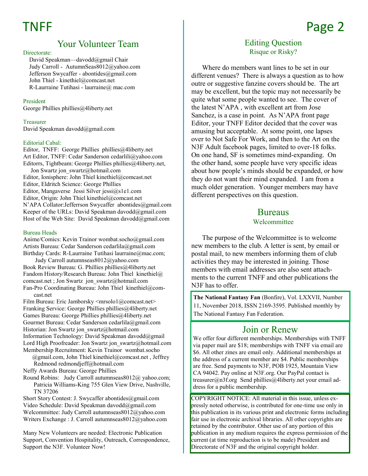## TNFF

## Your Volunteer Team

### Directorate:

 David Speakman—davodd@gmail Chair Judy Carroll - AutumnSeas8012@yahoo.com Jefferson Swycaffer - abontides@gmail.com John Thiel - kinethiel@comcast.net R-Laurraine Tutihasi - laurraine@ mac.com

President

George Phillies phillies@4liberty.net

Treasurer David Speakman davodd@gmail.com

### Editorial Cabal:

Editor, TNFF: George Phillies phillies@4liberty.net Art Editor, TNFF: Cedar Sanderson cedarlili@yahoo.com Editorrs, Tightbeam: George Phillies phillies@4liberty.net, Jon Swartz jon\_swartz@hotmail.com Editor, Ionisphere: John Thiel kinethiel@comcast.net Editor, Eldritch Science: George Phillies Editor, Mangaverse Jessi Silver [jessi@s1e1.com](mailto:jessi@s1e1.com) Editor, Origin: John Thiel kinethiel@comcast.net N'APA Collator:Jefferrson Swycaffer abontides@gmail.com Keeper of the URLs: David Speakman davodd@gmail.com Host of the Web Site: David Speakman davodd@gmail.com

### Bureau Heads

Anime/Comics: Kevin Trainor wombat.socho@gmail.com Artists Bureau: Cedar Sanderson cedarlila@gmail.com Birthday Cards: R-Laurraine Tutihasi laurraine@mac.com;

 Judy Carroll autumnseas8012@yahoo.com Book Review Bureau: G. Phillies phillies@4liberty.net Fandom History/Research Bureau: John Thiel kinethiel@ comcast.net ; Jon Swartz jon\_swartz@hotmail.com Fan-Pro Coordinating Bureau: John Thiel kinethiel@com cast.net

Film Bureau: Eric Jamborsky <mrsolo1@comcast.net> Franking Service: George Phillies phillies@4liberty.net Games Bureau: George Phillies phillies@4liberty.net Gourmet Bureau: Cedar Sanderson cedarlila@gmail.com Historian: Jon Swartz jon\_swartz@hotmail.com Information Technology: David Speakman davodd@gmail Lord High Proofreader: Jon Swartz jon\_swartz@hotmail.com Membership Recruitment: Kevin Trainor wombat.socho

 @gmail.com, John Thiel kinethiel@comcast.net , Jeffrey Redmond redmondjeff@hotmail.com

Neffy Awards Bureau: George Phillies

Round Robins: Judy Carroll autumnseas8012@ yahoo.com; Patricia Williams-King 755 Glen View Drive, Nashville, TN 37206

Short Story Contest: J. Swycaffer abontides@gmail.com Video Schedule: David Speakman davodd@gmail.com Welcommittee: Judy Carroll autumnseas8012@yahoo.com Writers Exchange : J. Carroll autumnseas8012@yahoo.com

Many New Volunteers are needed: Electronic Publication Support, Convention Hospitality, Outreach, Correspondence, Support the N3F. Volunteer Now!

## Page 2

### Editing Question Risque or Risky?

Where do members want lines to be set in our different venues? There is always a question as to how outre or suggestive fanzine covers should be. The art may be excellent, but the topic may not necessarily be quite what some people wanted to see. The cover of the latest N'APA , with excellent art from Jose Sanchez, is a case in point. As N'APA front page Editor, your TNFF Editor decided that the cover was amusing but acceptable. At some point, one lapses over to Not Safe For Work, and then to the Art on the N3F Adult facebook pages, limited to over-18 folks. On one hand, SF is sometimes mind-expanding. On the other hand, some people have very specific ideas about how people's minds should be expanded, or how they do not want their mind expanded. I am from a much older generation. Younger members may have different perspectives on this question.

## **Bureaus** Welcommittee

The purpose of the Welcommittee is to welcome new members to the club. A letter is sent, by email or postal mail, to new members informing them of club activities they may be interested in joining. Those members with email addresses are also sent attachments to the current TNFF and other publications the N3F has to offer.

**The National Fantasy Fan** (Bonfire), Vol. LXXVII, Number 11, November 2018, ISSN 2169-3595. Published monthly by The National Fantasy Fan Federation.

## Join or Renew

We offer four different memberships. Memberships with TNFF via paper mail are \$18; memberships with TNFF via email are \$6. All other zines are email only. Additional memberships at the address of a current member are \$4. Public memberships are free. Send payments to N3F, POB 1925, Mountain View CA 94042. Pay online at N3F.org. Our PayPal contact is [treasurer@n3f.org](mailto:treasurer@n3f.org) Send phillies@4liberty.net your email address for a public membership.

COPYRIGHT NOTICE: All material in this issue, unless expressly noted otherwise, is contributed for one-time use only in this publication in its various print and electronic forms including fair use in electronic archival libraries. All other copyrights are retained by the contributor. Other use of any portion of this publication in any medium requires the express permission of the current (at time reproduction is to be made) President and Directorate of N3F and the original copyright holder.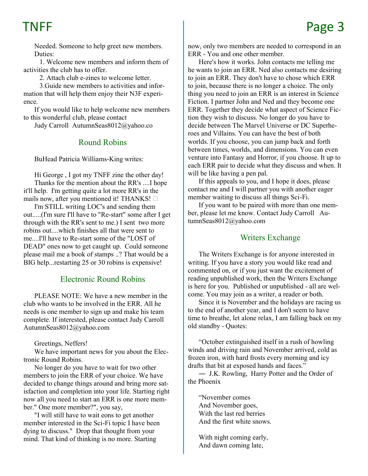Needed. Someone to help greet new members. Duties:

 1. Welcome new members and inform them of activities the club has to offer.

2. Attach club e-zines to welcome letter.

 3.Guide new members to activities and information that will help them enjoy their N3F experience.

If you would like to help welcome new members to this wonderful club, please contact

Judy Carroll AutumnSeas8012@yahoo.co

### Round Robins

BuHead Patricia Williams-King writes:

Hi George , I got my TNFF zine the other day! Thanks for the mention about the RR's ....I hope it'll help. I'm getting quite a lot more RR's in the mails now, after you mentioned it! THANKS!  $\square$ 

I'm STILL writing LOC's and sending them out.....(I'm sure I'll have to "Re-start" some after I get through with the RR's sent to me.) I sent two more robins out....which finishes all that were sent to me....I'll have to Re-start some of the "LOST of DEAD" ones now to get caught up. Could someone please mail me a book of stamps ..? That would be a BIG help...restarting 25 or 30 robins is expensive!

## Electronic Round Robins

PLEASE NOTE: We have a new member in the club who wants to be involved in the ERR. All he needs is one member to sign up and make his team complete. If interested, please contact Judy Carroll AutumnSeas8012@yahoo.com

### Greetings, Neffers!

We have important news for you about the Electronic Round Robins.

No longer do you have to wait for two other members to join the ERR of your choice. We have decided to change things around and bring more satisfaction and completion into your life. Starting right now all you need to start an ERR is one more member." One more member?", you say,

"I will still have to wait eons to get another member interested in the Sci-Fi topic I have been dying to discuss." Drop that thought from your mind. That kind of thinking is no more. Starting

now, only two members are needed to correspond in an ERR - You and one other member.

Here's how it works. John contacts me telling me he wants to join an ERR. Ned also contacts me desiring to join an ERR. They don't have to chose which ERR to join, because there is no longer a choice. The only thing you need to join an ERR is an interest in Science Fiction. I partner John and Ned and they become one ERR. Together they decide what aspect of Science Fiction they wish to discuss. No longer do you have to decide between The Marvel Universe or DC Superheroes and Villains. You can have the best of both worlds. If you choose, you can jump back and forth between times, worlds, and dimensions. You can even venture into Fantasy and Horror, if you choose. It up to each ERR pair to decide what they discuss and when. It will be like having a pen pal.

If this appeals to you, and I hope it does, please contact me and I will partner you with another eager member waiting to discuss all things Sci-Fi.

If you want to be paired with more than one member, please let me know. Contact Judy Carroll AutumnSeas8012@yahoo.com

## Writers Exchange

The Writers Exchange is for anyone interested in writing. If you have a story you would like read and commented on, or if you just want the excitement of reading unpublished work, then the Writers Exchange is here for you. Published or unpublished - all are welcome. You may join as a writer, a reader or both.

Since it is November and the holidays are racing us to the end of another year, and I don't seem to have time to breathe, let alone relax, I am falling back on my old standby - Quotes:

"October extinguished itself in a rush of howling winds and driving rain and November arrived, cold as frozen iron, with hard frosts every morning and icy drafts that bit at exposed hands and faces."

― J.K. Rowling, Harry Potter and the Order of the Phoenix

"November comes And November goes, With the last red berries And the first white snows.

With night coming early, And dawn coming late,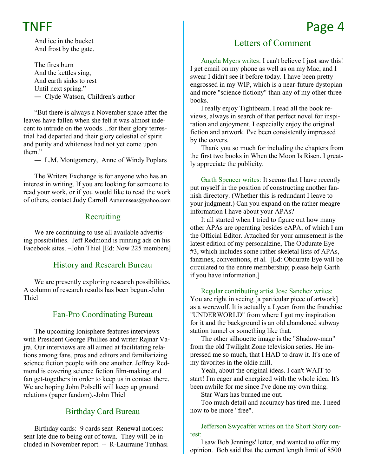And ice in the bucket And frost by the gate.

The fires burn And the kettles sing, And earth sinks to rest Until next spring." ― Clyde Watson, Children's author

"But there is always a November space after the leaves have fallen when she felt it was almost indecent to intrude on the woods…for their glory terrestrial had departed and their glory celestial of spirit and purity and whiteness had not yet come upon them."

― L.M. Montgomery, Anne of Windy Poplars

The Writers Exchange is for anyone who has an interest in writing. If you are looking for someone to read your work, or if you would like to read the work of others, contact Judy Carroll Autumnseas@yahoo.com

## **Recruiting**

We are continuing to use all available advertising possibilities. Jeff Redmond is running ads on his Facebook sites. –John Thiel [Ed: Now 225 members]

## History and Research Bureau

We are presently exploring research possibilities. A column of research results has been begun.-John Thiel

## Fan-Pro Coordinating Bureau

The upcoming Ionisphere features interviews with President George Phillies and writer Rajnar Vajra. Our interviews are all aimed at facilitating relations among fans, pros and editors and familiarizing science fiction people with one another. Jeffrey Redmond is covering science fiction film-making and fan get-togethers in order to keep us in contact there. We are hoping John Polselli will keep up ground relations (paper fandom).-John Thiel

## Birthday Card Bureau

Birthday cards: 9 cards sent Renewal notices: sent late due to being out of town. They will be included in November report. -- R-Laurraine Tutihasi

## Letters of Comment

Angela Myers writes: I can't believe I just saw this! I get email on my phone as well as on my Mac, and I swear I didn't see it before today. I have been pretty engrossed in my WIP, which is a near-future dystopian and more "science fictiony" than any of my other three books.

I really enjoy Tightbeam. I read all the book reviews, always in search of that perfect novel for inspiration and enjoyment. I especially enjoy the original fiction and artwork. I've been consistently impressed by the covers.

Thank you so much for including the chapters from the first two books in When the Moon Is Risen. I greatly appreciate the publicity.

Garth Spencer writes: It seems that I have recently put myself in the position of constructing another fannish directory. (Whether this is redundant I leave to your judgment.) Can you expand on the rather meagre information I have about your APAs?

It all started when I tried to figure out how many other APAs are operating besides eAPA, of which I am the Official Editor. Attached for your amusement is the latest edition of my personalzine, The Obdurate Eye #3, which includes some rather skeletal lists of APAs, fanzines, conventions, et al. [Ed: Obdurate Eye will be circulated to the entire membership; please help Garth if you have information.]

Regular contributing artist Jose Sanchez writes: You are right in seeing [a particular piece of artwork] as a werewolf. It is actually a Lycan from the franchise "UNDERWORLD" from where I got my inspiration for it and the background is an old abandoned subway station tunnel or something like that.

The other silhouette image is the "Shadow-man" from the old Twilight Zone television series. He impressed me so much, that I HAD to draw it. It's one of my favorites in the oldie mill.

Yeah, about the original ideas. I can't WAIT to start! I'm eager and energized with the whole idea. It's been awhile for me since I've done my own thing.

Star Wars has burned me out.

Too much detail and accuracy has tired me. I need now to be more "free".

Jefferson Swycaffer writes on the Short Story contest:

I saw Bob Jennings' letter, and wanted to offer my opinion. Bob said that the current length limit of 8500

## TNFF and the set of the set of the page 4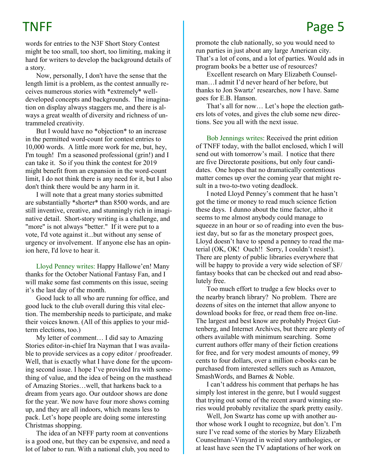## TNFF and the set of the set of the set of the set of the set of the set of the set of the set of the set of th

words for entries to the N3F Short Story Contest might be too small, too short, too limiting, making it hard for writers to develop the background details of a story.

Now, personally, I don't have the sense that the length limit is a problem, as the contest annually receives numerous stories with \*extremely\* welldeveloped concepts and backgrounds. The imagination on display always staggers me, and there is always a great wealth of diversity and richness of untrammeled creativity.

But I would have no \*objection\* to an increase in the permitted word-count for contest entries to 10,000 words. A little more work for me, but, hey, I'm tough! I'm a seasoned professional (grin!) and I can take it. So if you think the contest for 2019 might benefit from an expansion in the word-count limit, I do not think there is any need for it, but I also don't think there would be any harm in it.

I will note that a great many stories submitted are substantially \*shorter\* than 8500 words, and are still inventive, creative, and stunningly rich in imaginative detail. Short-story writing is a challenge, and "more" is not always "better." If it were put to a vote, I'd vote against it...but without any sense of urgency or involvement. If anyone else has an opinion here, I'd love to hear it.

Lloyd Penney writes: Happy Hallowe'en! Many thanks for the October National Fantasy Fan, and I will make some fast comments on this issue, seeing it's the last day of the month.

Good luck to all who are running for office, and good luck to the club overall during this vital election. The membership needs to participate, and make their voices known. (All of this applies to your midterm elections, too.)

My letter of comment… I did say to Amazing Stories editor-in-chief Ira Nayman that I was available to provide services as a copy editor / proofreader. Well, that is exactly what I have done for the upcoming second issue. I hope I've provided Ira with something of value, and the idea of being on the masthead of Amazing Stories…well, that harkens back to a dream from years ago. Our outdoor shows are done for the year. We now have four more shows coming up, and they are all indoors, which means less to pack. Let's hope people are doing some interesting Christmas shopping.

The idea of an NFFF party room at conventions is a good one, but they can be expensive, and need a lot of labor to run. With a national club, you need to

promote the club nationally, so you would need to run parties in just about any large American city. That's a lot of cons, and a lot of parties. Would ads in program books be a better use of resources?

Excellent research on Mary Elizabeth Counselman…I admit I'd never heard of her before, but thanks to Jon Swartz' researches, now I have. Same goes for E.B. Hanson.

That's all for now… Let's hope the election gathers lots of votes, and gives the club some new directions. See you all with the next issue.

Bob Jennings writes: Received the print edition of TNFF today, with the ballot enclosed, which I will send out with tomorrow's mail. I notice that there are five Directorate positions, but only four candidates. One hopes that no dramatically contentious matter comes up over the coming year that might result in a two-to-two voting deadlock.

I noted Lloyd Penney's comment that he hasn't got the time or money to read much science fiction these days. I dunno about the time factor, altho it seems to me almost anybody could manage to squeeze in an hour or so of reading into even the busiest day, but so far as the monetary prospect goes, Lloyd doesn't have to spend a penney to read the material (OK, OK! Ouch!! Sorry, I couldn't resist!). There are plenty of public libraries everywhere that will be happy to provide a very wide selection of SF/ fantasy books that can be checked out and read absolutely free.

Too much effort to trudge a few blocks over to the nearby branch library? No problem. There are dozens of sites on the internet that allow anyone to download books for free, or read them free on-line. The largest and best know are probably Project Guttenberg, and Internet Archives, but there are plenty of others available with minimum searching. Some current authors offer many of their fiction creations for free, and for very modest amounts of money, 99 cents to four dollars, over a million e-books can be purchased from interested sellers such as Amazon, SmashWords, and Barnes & Noble.

I can't address his comment that perhaps he has simply lost interest in the genre, but I would suggest that trying out some of the recent award winning stories would probably revitalize the spark pretty easily.

Well, Jon Swartz has come up with another author whose work I ought to recognize, but don't. I'm sure I've read some of the stories by Mary Elizabeth Counselman/-Vinyard in weird story anthologies, or at least have seen the TV adaptations of her work on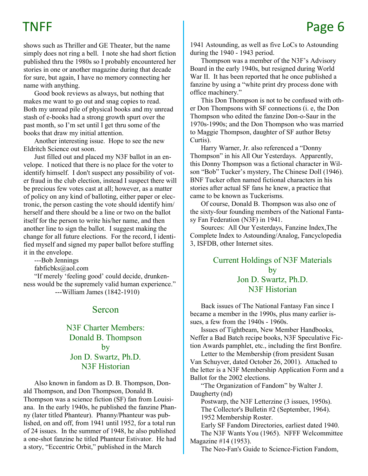shows such as Thriller and GE Theater, but the name simply does not ring a bell. I note she had short fiction published thru the 1980s so I probably encountered her stories in one or another magazine during that decade for sure, but again, I have no memory connecting her name with anything.

Good book reviews as always, but nothing that makes me want to go out and snag copies to read. Both my unread pile of physical books and my unread stash of e-books had a strong growth spurt over the past month, so I'm set until I get thru some of the books that draw my initial attention.

Another interesting issue. Hope to see the new Eldritch Science out soon.

Just filled out and placed my N3F ballot in an envelope. I noticed that there is no place for the voter to identify himself. I don't suspect any possibility of voter fraud in the club election, instead I suspect there will be precious few votes cast at all; however, as a matter of policy on any kind of balloting, either paper or electronic, the person casting the vote should identify him/ herself and there should be a line or two on the ballot itself for the person to write his/her name, and then another line to sign the ballot. I suggest making the change for all future elections. For the record, I identified myself and signed my paper ballot before stuffing it in the envelope.

---Bob Jennings

fabficbks@aol.com

"If merely 'feeling good' could decide, drunkenness would be the supremely valid human experience." ---William James (1842-1910)

## Sercon

## N3F Charter Members: Donald B. Thompson by Jon D. Swartz, Ph.D. N3F Historian

Also known in fandom as D. B. Thompson, Donald Thompson, and Don Thompson, Donald B. Thompson was a science fiction (SF) fan from Louisiana. In the early 1940s, he published the fanzine Phanny (later titled Phanteur). Phanny/Phanteur was published, on and off, from 1941 until 1952, for a total run of 24 issues. In the summer of 1948, he also published a one-shot fanzine he titled Phanteur Estivator. He had a story, "Eccentric Orbit," published in the March

1941 Astounding, as well as five LoCs to Astounding during the 1940 - 1943 period.

Thompson was a member of the N3F's Advisory Board in the early 1940s, but resigned during World War II. It has been reported that he once published a fanzine by using a "white print dry process done with office machinery."

This Don Thompson is not to be confused with other Don Thompsons with SF connections (i. e, the Don Thompson who edited the fanzine Don-o-Saur in the 1970s-1990s; and the Don Thompson who was married to Maggie Thompson, daughter of SF author Betsy Curtis).

Harry Warner, Jr. also referenced a "Donny Thompson" in his All Our Yesterdays. Apparently, this Donny Thompson was a fictional character in Wilson "Bob" Tucker's mystery, The Chinese Doll (1946). BNF Tucker often named fictional characters in his stories after actual SF fans he knew, a practice that came to be known as Tuckerisms.

Of course, Donald B. Thompson was also one of the sixty-four founding members of the National Fantasy Fan Federation (N3F) in 1941.

Sources: All Our Yesterdays, Fanzine Index,The Complete Index to Astounding/Analog, Fancyclopedia 3, ISFDB, other Internet sites.

## Current Holdings of N3F Materials by Jon D. Swartz, Ph.D. N3F Historian

Back issues of The National Fantasy Fan since I became a member in the 1990s, plus many earlier issues, a few from the 1940s - 1960s.

Issues of Tightbeam, New Member Handbooks, Neffer a Bad Batch recipe books, N3F Speculative Fiction Awards pamphlet, etc., including the first Bonfire.

Letter to the Membership (from president Susan Van Schuyver, dated October 26, 2001). Attached to the letter is a N3F Membership Application Form and a Ballot for the 2002 elections.

"The Organization of Fandom" by Walter J. Daugherty (nd)

Postwarp, the N3F Letterzine (3 issues, 1950s). The Collector's Bulletin #2 (September, 1964). 1952 Membership Roster.

Early SF Fandom Directories, earliest dated 1940. The N3F Wants You (1965). NFFF Welcommittee Magazine #14 (1953).

The Neo-Fan's Guide to Science-Fiction Fandom,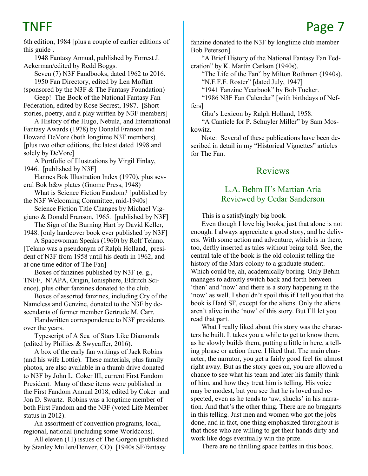6th edition, 1984 [plus a couple of earlier editions of this guide].

1948 Fantasy Annual, published by Forrest J. Ackerman/edited by Redd Boggs.

Seven (7) N3F Fandbooks, dated 1962 to 2016. 1950 Fan Directory, edited by Len Moffatt

(sponsored by the N3F & The Fantasy Foundation) Geep! The Book of the National Fantasy Fan

Federation, edited by Rose Secrest, 1987. [Short stories, poetry, and a play written by N3F members]

A History of the Hugo, Nebula, and International Fantasy Awards (1978) by Donald Franson and Howard DeVore (both longtime N3F members). [plus two other editions, the latest dated 1998 and solely by DeVore]

A Portfolio of Illustrations by Virgil Finlay, 1946. [published by N3F]

Hannes Bok Illustration Index (1970), plus several Bok b&w plates (Gnome Press, 1948)

What is Science Fiction Fandom? [published by the N3F Welcoming Committee, mid-1940s]

Science Fiction Title Changes by Michael Viggiano & Donald Franson, 1965. [published by N3F]

The Sign of the Burning Hart by David Keller,

1948. [only hardcover book ever published by N3F] A Spacewoman Speaks (1960) by Rolf Telano. [Telano was a pseudonym of Ralph Holland, presi-

dent of N3F from 1958 until his death in 1962, and at one time editor of The Fan]

Boxes of fanzines published by N3F (e. g., TNFF, N'APA, Origin, Ionisphere, Eldritch Science), plus other fanzines donated to the club.

Boxes of assorted fanzines, including Cry of the Nameless and Genzine, donated to the N3F by descendants of former member Gertrude M. Carr.

Handwritten correspondence to N3F presidents over the years.

Typescript of A Sea of Stars Like Diamonds (edited by Phillies & Swycaffer, 2016).

A box of the early fan writings of Jack Robins (and his wife Lottie). These materials, plus family photos, are also available in a thumb drive donated to N3F by John L. Coker III, current First Fandom President. Many of these items were published in the First Fandom Annual 2018, edited by Coker and Jon D. Swartz. Robins was a longtime member of both First Fandom and the N3F (voted Life Member status in 2012).

An assortment of convention programs, local, regional, national (including some Worldcons).

All eleven (11) issues of The Gorgon (published by Stanley Mullen/Denver, CO) [1940s SF/fantasy

fanzine donated to the N3F by longtime club member Bob Peterson].

"A Brief History of the National Fantasy Fan Federation" by K. Martin Carlson (1940s).

"The Life of the Fan" by Milton Rothman (1940s). "N.F.F.F. Roster" [dated July, 1947]

"1941 Fanzine Yearbook" by Bob Tucker.

"1986 N3F Fan Calendar" [with birthdays of Neffers]

Ghu's Lexicon by Ralph Holland, 1958.

"A Canticle for P. Schuyler Miller" by Sam Moskowitz.

Note: Several of these publications have been described in detail in my "Historical Vignettes" articles for The Fan.

## Reviews

## L.A. Behm II's Martian Aria Reviewed by Cedar Sanderson

This is a satisfyingly big book.

Even though I love big books, just that alone is not enough. I always appreciate a good story, and he delivers. With some action and adventure, which is in there, too, deftly inserted as tales without being told. See, the central tale of the book is the old colonist telling the history of the Mars colony to a graduate student. Which could be, ah, academically boring. Only Behm manages to adroitly switch back and forth between 'then' and 'now' and there is a story happening in the 'now' as well. I shouldn't spoil this if I tell you that the book is Hard SF, except for the aliens. Only the aliens aren't alive in the 'now' of this story. But I'll let you read that part.

What I really liked about this story was the characters he built. It takes you a while to get to know them, as he slowly builds them, putting a little in here, a telling phrase or action there. I liked that. The main character, the narrator, you get a fairly good feel for almost right away. But as the story goes on, you are allowed a chance to see what his team and later his family think of him, and how they treat him is telling. His voice may be modest, but you see that he is loved and respected, even as he tends to 'aw, shucks' in his narration. And that's the other thing. There are no braggarts in this telling. Just men and women who got the jobs done, and in fact, one thing emphasized throughout is that those who are willing to get their hands dirty and work like dogs eventually win the prize.

There are no thrilling space battles in this book.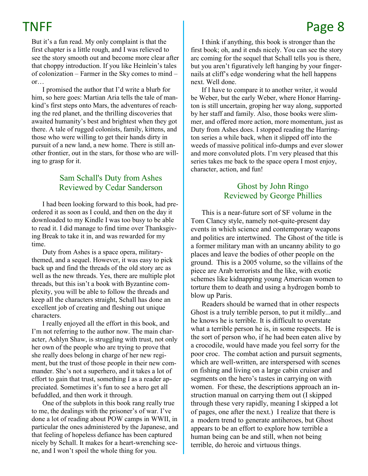## TNFF and the set of the set of the set of the set of the set of the set of the set of the set of the set of th

But it's a fun read. My only complaint is that the first chapter is a little rough, and I was relieved to see the story smooth out and become more clear after that choppy introduction. If you like Heinlein's tales of colonization – Farmer in the Sky comes to mind – or…

I promised the author that I'd write a blurb for him, so here goes: Martian Aria tells the tale of mankind's first steps onto Mars, the adventures of reaching the red planet, and the thrilling discoveries that awaited humanity's best and brightest when they got there. A tale of rugged colonists, family, kittens, and those who were willing to get their hands dirty in pursuit of a new land, a new home. There is still another frontier, out in the stars, for those who are willing to grasp for it.

## Sam Schall's Duty from Ashes Reviewed by Cedar Sanderson

I had been looking forward to this book, had preordered it as soon as I could, and then on the day it downloaded to my Kindle I was too busy to be able to read it. I did manage to find time over Thanksgiving Break to take it in, and was rewarded for my time.

Duty from Ashes is a space opera, militarythemed, and a sequel. However, it was easy to pick back up and find the threads of the old story arc as well as the new threads. Yes, there are multiple plot threads, but this isn't a book with Byzantine complexity, you will be able to follow the threads and keep all the characters straight, Schall has done an excellent job of creating and fleshing out unique characters.

I really enjoyed all the effort in this book, and I'm not referring to the author now. The main character, Ashlyn Shaw, is struggling with trust, not only her own of the people who are trying to prove that she really does belong in charge of her new regiment, but the trust of those people in their new commander. She's not a superhero, and it takes a lot of effort to gain that trust, something I as a reader appreciated. Sometimes it's fun to see a hero get all befuddled, and then work it through.

One of the subplots in this book rang really true to me, the dealings with the prisoner's of war. I've done a lot of reading about POW camps in WWII, in particular the ones administered by the Japanese, and that feeling of hopeless defiance has been captured nicely by Schall. It makes for a heart-wrenching scene, and I won't spoil the whole thing for you.

I think if anything, this book is stronger than the first book; oh, and it ends nicely. You can see the story arc coming for the sequel that Schall tells you is there, but you aren't figuratively left hanging by your fingernails at cliff's edge wondering what the hell happens next. Well done.

If I have to compare it to another writer, it would be Weber, but the early Weber, where Honor Harrington is still uncertain, groping her way along, supported by her staff and family. Also, those books were slimmer, and offered more action, more momentum, just as Duty from Ashes does. I stopped reading the Harrington series a while back, when it slipped off into the weeds of massive political info-dumps and ever slower and more convoluted plots. I'm very pleased that this series takes me back to the space opera I most enjoy, character, action, and fun!

## Ghost by John Ringo Reviewed by George Phillies

This is a near-future sort of SF volume in the Tom Clancy style, namely not-quite-present day events in which science and contemporary weapons and politics are intertwined. The Ghost of the title is a former military man with an uncanny ability to go places and leave the bodies of other people on the ground. This is a 2005 volume, so the villains of the piece are Arab terrorists and the like, with exotic schemes like kidnapping young American women to torture them to death and using a hydrogen bomb to blow up Paris.

Readers should be warned that in other respects Ghost is a truly terrible person, to put it mildly...and he knows he is terrible. It is difficult to overstate what a terrible person he is, in some respects. He is the sort of person who, if he had been eaten alive by a crocodile, would have made you feel sorry for the poor croc. The combat action and pursuit segments, which are well-written, are interspersed with scenes on fishing and living on a large cabin cruiser and segments on the hero's tastes in carrying on with women. For these, the descriptions approach an instruction manual on carrying them out (I skipped through these very rapidly, meaning I skipped a lot of pages, one after the next.) I realize that there is a modern trend to generate antiheroes, but Ghost appears to be an effort to explore how terrible a human being can be and still, when not being terrible, do heroic and virtuous things.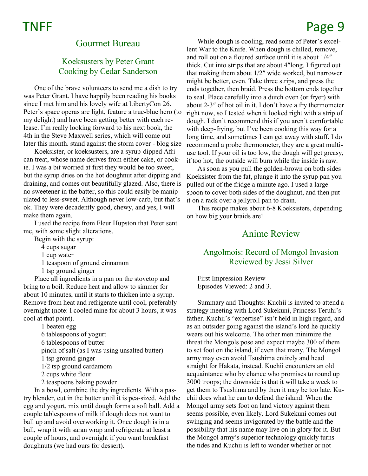## Gourmet Bureau

## Koeksusters by Peter Grant Cooking by Cedar Sanderson

One of the brave volunteers to send me a dish to try was Peter Grant. I have happily been reading his books since I met him and his lovely wife at LibertyCon 26. Peter's space operas are light, feature a true-blue hero (to my delight) and have been getting better with each release. I'm really looking forward to his next book, the 4th in the Steve Maxwell series, which will come out later this month. stand against the storm cover - blog size

Koeksister, or koeksusters, are a syrup-dipped African treat, whose name derives from either cake, or cookie. I was a bit worried at first they would be too sweet, but the syrup dries on the hot doughnut after dipping and draining, and comes out beautifully glazed. Also, there is no sweetener in the batter, so this could easily be manipulated to less-sweet. Although never low-carb, but that's ok. They were decadently good, chewy, and yes, I will make them again.

I used the recipe from Fleur Hupston that Peter sent me, with some slight alterations.

Begin with the syrup:

- 4 cups sugar
- 1 cup water
- 1 teaspoon of ground cinnamon
- 1 tsp ground ginger

Place all ingredients in a pan on the stovetop and bring to a boil. Reduce heat and allow to simmer for about 10 minutes, until it starts to thicken into a syrup. Remove from heat and refrigerate until cool, preferably overnight (note: I cooled mine for about 3 hours, it was cool at that point).

> 1 beaten egg 6 tablespoons of yogurt 6 tablespoons of butter pinch of salt (as I was using unsalted butter) 1 tsp ground ginger 1/2 tsp ground cardamom 2 cups white flour

2 teaspoons baking powder

In a bowl, combine the dry ingredients. With a pastry blender, cut in the butter until it is pea-sized. Add the egg and yogurt, mix until dough forms a soft ball. Add a couple tablespoons of milk if dough does not want to ball up and avoid overworking it. Once dough is in a ball, wrap it with saran wrap and refrigerate at least a couple of hours, and overnight if you want breakfast doughnuts (we had ours for dessert).

## TNFF Page 9

While dough is cooling, read some of Peter's excellent War to the Knife. When dough is chilled, remove, and roll out on a floured surface until it is about 1/4″ thick. Cut into strips that are about 4″long. I figured out that making them about 1/2″ wide worked, but narrower might be better, even. Take three strips, and press the ends together, then braid. Press the bottom ends together to seal. Place carefully into a dutch oven (or fryer) with about 2-3″ of hot oil in it. I don't have a fry thermometer right now, so I tested when it looked right with a strip of dough. I don't recommend this if you aren't comfortable with deep-frying, but I've been cooking this way for a long time, and sometimes I can get away with stuff. I do recommend a probe thermometer, they are a great multiuse tool. If your oil is too low, the dough will get greasy, if too hot, the outside will burn while the inside is raw.

As soon as you pull the golden-brown on both sides Koeksister from the fat, plunge it into the syrup pan you pulled out of the fridge a minute ago. I used a large spoon to cover both sides of the doughnut, and then put it on a rack over a jellyroll pan to drain.

This recipe makes about 6-8 Koeksisters, depending on how big your braids are!

## Anime Review

## Angolmois: Record of Mongol Invasion Reviewed by Jessi Silver

First Impression Review Episodes Viewed: 2 and 3.

Summary and Thoughts: Kuchii is invited to attend a strategy meeting with Lord Sukekuni, Princess Teruhi's father. Kuchii's "expertise" isn't held in high regard, and as an outsider going against the island's lord he quickly wears out his welcome. The other men minimize the threat the Mongols pose and expect maybe 300 of them to set foot on the island, if even that many. The Mongol army may even avoid Tsushima entirely and head straight for Hakata, instead. Kuchii encounters an old acquaintance who by chance who promises to round up 3000 troops; the downside is that it will take a week to get them to Tsushima and by then it may be too late. Kuchii does what he can to defend the island. When the Mongol army sets foot on land victory against them seems possible, even likely. Lord Sukekuni comes out swinging and seems invigorated by the battle and the possibility that his name may live on in glory for it. But the Mongol army's superior technology quickly turns the tides and Kuchii is left to wonder whether or not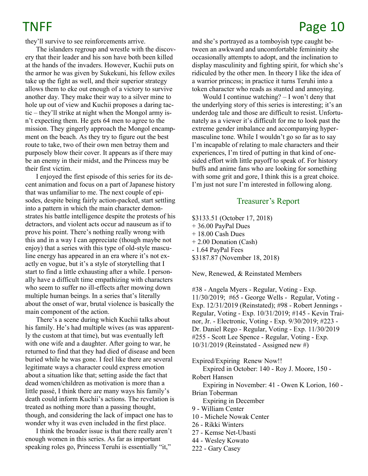they'll survive to see reinforcements arrive.

The islanders regroup and wrestle with the discovery that their leader and his son have both been killed at the hands of the invaders. However, Kuchii puts on the armor he was given by Sukekuni, his fellow exiles take up the fight as well, and their superior strategy allows them to eke out enough of a victory to survive another day. They make their way to a silver mine to hole up out of view and Kuchii proposes a daring tactic – they'll strike at night when the Mongol army isn't expecting them. He gets 64 men to agree to the mission. They gingerly approach the Mongol encampment on the beach. As they try to figure out the best route to take, two of their own men betray them and purposely blow their cover. It appears as if there may be an enemy in their midst, and the Princess may be their first victim.

I enjoyed the first episode of this series for its decent animation and focus on a part of Japanese history that was unfamiliar to me. The next couple of episodes, despite being fairly action-packed, start settling into a pattern in which the main character demonstrates his battle intelligence despite the protests of his detractors, and violent acts occur ad nauseum as if to prove his point. There's nothing really wrong with this and in a way I can appreciate (though maybe not enjoy) that a series with this type of old-style masculine energy has appeared in an era where it's not exactly en vogue, but it's a style of storytelling that I start to find a little exhausting after a while. I personally have a difficult time empathizing with characters who seem to suffer no ill-effects after mowing down multiple human beings. In a series that's literally about the onset of war, brutal violence is basically the main component of the action.

There's a scene during which Kuchii talks about his family. He's had multiple wives (as was apparently the custom at that time), but was eventually left with one wife and a daughter. After going to war, he returned to find that they had died of disease and been buried while he was gone. I feel like there are several legitimate ways a character could express emotion about a situation like that; setting aside the fact that dead women/children as motivation is more than a little passé, I think there are many ways his family's death could inform Kuchii's actions. The revelation is treated as nothing more than a passing thought, though, and considering the lack of impact one has to wonder why it was even included in the first place.

I think the broader issue is that there really aren't enough women in this series. As far as important speaking roles go, Princess Teruhi is essentially "it,"

## TNFF Page 10

and she's portrayed as a tomboyish type caught between an awkward and uncomfortable femininity she occasionally attempts to adopt, and the inclination to display masculinity and fighting spirit, for which she's ridiculed by the other men. In theory I like the idea of a warrior princess; in practice it turns Teruhi into a token character who reads as stunted and annoying.

Would I continue watching? – I won't deny that the underlying story of this series is interesting; it's an underdog tale and those are difficult to resist. Unfortunately as a viewer it's difficult for me to look past the extreme gender imbalance and accompanying hypermasculine tone. While I wouldn't go so far as to say I'm incapable of relating to male characters and their experiences, I'm tired of putting in that kind of onesided effort with little payoff to speak of. For history buffs and anime fans who are looking for something with some grit and gore, I think this is a great choice. I'm just not sure I'm interested in following along.

### Treasurer's Report

\$3133.51 (October 17, 2018) + 36.00 PayPal Dues + 18.00 Cash Dues + 2.00 Donation (Cash) - 1.64 PayPal Fees \$3187.87 (November 18, 2018)

New, Renewed, & Reinstated Members

#38 - Angela Myers - Regular, Voting - Exp. 11/30/2019; #65 - George Wells - Regular, Voting - Exp. 12/31/2019 (Reinstated); #98 - Robert Jennings - Regular, Voting - Exp. 10/31/2019; #145 - Kevin Trainor, Jr. - Electronic, Voting - Exp. 9/30/2019; #223 - Dr. Daniel Rego - Regular, Voting - Exp. 11/30/2019 #255 - Scott Lee Spence - Regular, Voting - Exp. 10/31/2019 (Reinstated - Assigned new #)

Expired/Expiring Renew Now!!

Expired in October: 140 - Roy J. Moore, 150 - Robert Hansen Expiring in November: 41 - Owen K Lorion, 160 - Brian Toberman Expiring in December

- 9 William Center
- 10 Michele Nowak Center
- 26 Rikki Winters
- 27 Kemse Net-Ubasti
- 44 Wesley Kowato
- 222 Gary Casey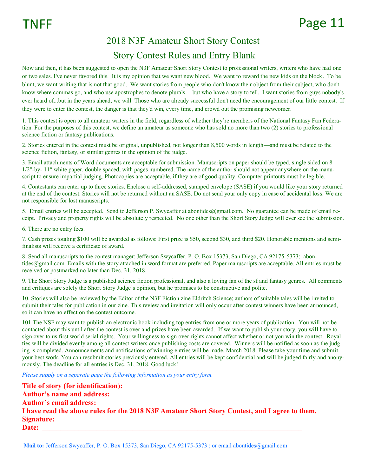## 2018 N3F Amateur Short Story Contest

## Story Contest Rules and Entry Blank

Now and then, it has been suggested to open the N3F Amateur Short Story Contest to professional writers, writers who have had one or two sales. I've never favored this. It is my opinion that we want new blood. We want to reward the new kids on the block. To be blunt, we want writing that is not that good. We want stories from people who don't know their object from their subject, who don't know where commas go, and who use apostrophes to denote plurals -- but who have a story to tell. I want stories from guys nobody's ever heard of...but in the years ahead, we will. Those who are already successful don't need the encouragement of our little contest. If they were to enter the contest, the danger is that they'd win, every time, and crowd out the promising newcomer.

1. This contest is open to all amateur writers in the field, regardless of whether they're members of the National Fantasy Fan Federation. For the purposes of this contest, we define an amateur as someone who has sold no more than two (2) stories to professional science fiction or fantasy publications.

2. Stories entered in the contest must be original, unpublished, not longer than 8,500 words in length—and must be related to the science fiction, fantasy, or similar genres in the opinion of the judge.

3. Email attachments of Word documents are acceptable for submission. Manuscripts on paper should be typed, single sided on 8 1/2″-by- 11″ white paper, double spaced, with pages numbered. The name of the author should not appear anywhere on the manuscript to ensure impartial judging. Photocopies are acceptable, if they are of good quality. Computer printouts must be legible.

4. Contestants can enter up to three stories. Enclose a self-addressed, stamped envelope (SASE) if you would like your story returned at the end of the contest. Stories will not be returned without an SASE. Do not send your only copy in case of accidental loss. We are not responsible for lost manuscripts.

5. Email entries will be accepted. Send to Jefferson P. Swycaffer at abontides@gmail.com. No guarantee can be made of email receipt. Privacy and property rights will be absolutely respected. No one other than the Short Story Judge will ever see the submission.

6. There are no entry fees.

7. Cash prizes totaling \$100 will be awarded as follows: First prize is \$50, second \$30, and third \$20. Honorable mentions and semifinalists will receive a certificate of award.

8. Send all manuscripts to the contest manager: Jefferson Swycaffer, P. O. Box 15373, San Diego, CA 92175-5373; abontides@gmail.com. Emails with the story attached in word format are preferred. Paper manuscripts are acceptable. All entries must be received or postmarked no later than Dec. 31, 2018.

9. The Short Story Judge is a published science fiction professional, and also a loving fan of the sf and fantasy genres. All comments and critiques are solely the Short Story Judge's opinion, but he promises to be constructive and polite.

10. Stories will also be reviewed by the Editor of the N3F Fiction zine Eldritch Science; authors of suitable tales will be invited to submit their tales for publication in our zine. This review and invitation will only occur after contest winners have been announced, so it can have no effect on the contest outcome.

101 The NSF may want to publish an electronic book including top entries from one or more years of publication. You will not be contacted about this until after the contest is over and prizes have been awarded. If we want to publish your story, you will have to sign over to us first world serial rights. Your willingness to sign over rights cannot affect whether or not you win the contest. Royalties will be divided evenly among all contest writers once publishing costs are covered. Winners will be notified as soon as the judging is completed. Announcements and notifications of winning entries will be made, March 2018. Please take your time and submit your best work. You can resubmit stories previously entered. All entries will be kept confidential and will be judged fairly and anonymously. The deadline for all entries is Dec. 31, 2018. Good luck!

*Please supply on a separate page the following information as your entry form.*

**Title of story (for identification): Author's name and address: Author's email address: I have read the above rules for the 2018 N3F Amateur Short Story Contest, and I agree to them. Signature: Date: \_\_\_\_\_\_\_\_\_\_\_\_\_\_\_\_\_\_\_\_\_\_\_\_\_\_\_\_\_\_\_\_\_\_\_\_\_\_\_\_\_\_\_\_\_\_\_\_\_\_\_\_\_\_\_\_\_\_\_\_\_\_\_\_\_\_\_\_\_\_\_\_**